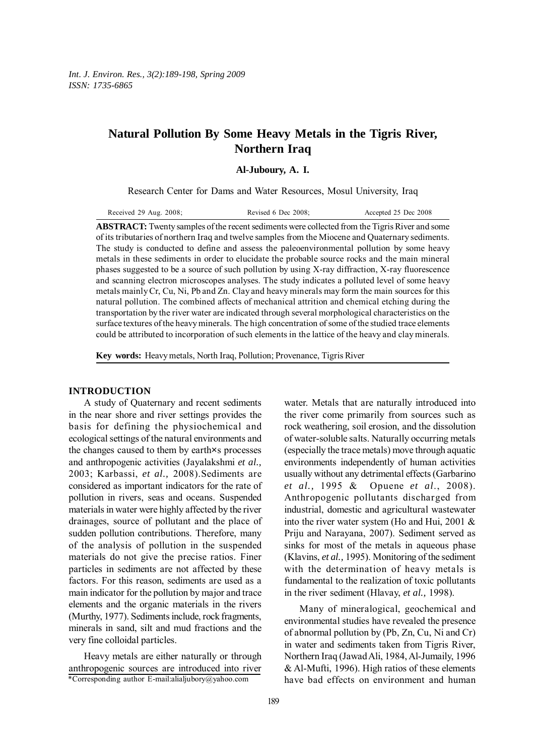# **Natural Pollution By Some Heavy Metals in the Tigris River, Northern Iraq**

**Al-Juboury, A. I.**

Research Center for Dams and Water Resources, Mosul University, Iraq

**ABSTRACT:** Twenty samples of the recent sediments were collected from the Tigris River and some of its tributaries of northern Iraq and twelve samples from the Miocene and Quaternary sediments. The study is conducted to define and assess the paleoenvironmental pollution by some heavy metals in these sediments in order to elucidate the probable source rocks and the main mineral phases suggested to be a source of such pollution by using X-ray diffraction, X-ray fluorescence and scanning electron microscopes analyses. The study indicates a polluted level of some heavy metals mainly Cr, Cu, Ni, Pb and Zn. Clay and heavy minerals may form the main sources for this natural pollution. The combined affects of mechanical attrition and chemical etching during the transportation by the river water are indicated through several morphological characteristics on the surface textures of the heavy minerals. The high concentration of some of the studied trace elements could be attributed to incorporation of such elements in the lattice of the heavy and clay minerals.

**Key words:** Heavy metals, North Iraq, Pollution; Provenance, Tigris River

# **INTRODUCTION**

A study of Quaternary and recent sediments in the near shore and river settings provides the basis for defining the physiochemical and ecological settings of the natural environments and the changes caused to them by earth×s processes and anthropogenic activities (Jayalakshmi *et al.,* 2003; Karbassi, *et al.,* 2008).Sediments are considered as important indicators for the rate of pollution in rivers, seas and oceans. Suspended materials in water were highly affected by the river drainages, source of pollutant and the place of sudden pollution contributions. Therefore, many of the analysis of pollution in the suspended materials do not give the precise ratios. Finer particles in sediments are not affected by these factors. For this reason, sediments are used as a main indicator for the pollution by major and trace elements and the organic materials in the rivers (Murthy, 1977). Sediments include, rock fragments, minerals in sand, silt and mud fractions and the very fine colloidal particles.

\*Corresponding author E-mail:alialjubory@yahoo.com Heavy metals are either naturally or through anthropogenic sources are introduced into river

the river come primarily from sources such as rock weathering, soil erosion, and the dissolution of water-soluble salts. Naturally occurring metals (especially the trace metals) move through aquatic environments independently of human activities usually without any detrimental effects (Garbarino *et al.,* 1995 & Opuene *et al*., 2008). Anthropogenic pollutants discharged from industrial, domestic and agricultural wastewater into the river water system (Ho and Hui, 2001 & Priju and Narayana, 2007). Sediment served as sinks for most of the metals in aqueous phase (Klavins, *et al.,* 1995). Monitoring of the sediment with the determination of heavy metals is fundamental to the realization of toxic pollutants in the river sediment (Hlavay, *et al.,* 1998).

water. Metals that are naturally introduced into

Many of mineralogical, geochemical and environmental studies have revealed the presence of abnormal pollution by (Pb, Zn, Cu, Ni and Cr) in water and sediments taken from Tigris River, Northern Iraq (Jawad Ali, 1984, Al-Jumaily, 1996 & Al-Mufti, 1996). High ratios of these elements have bad effects on environment and human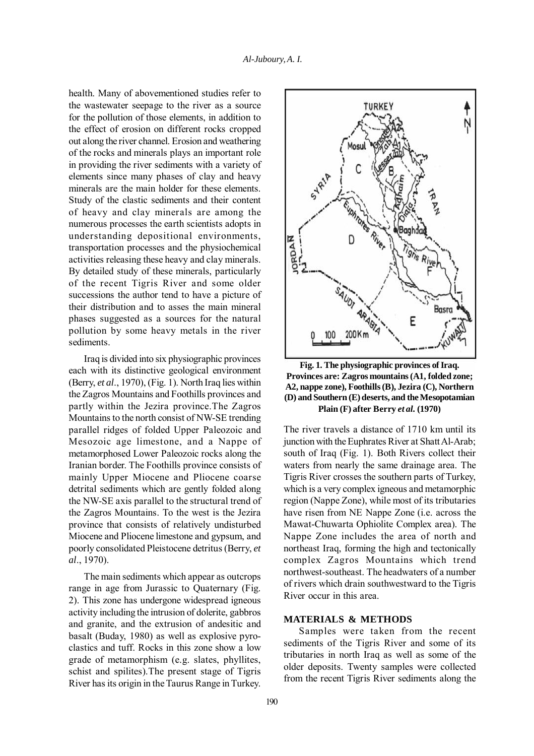health. Many of abovementioned studies refer to the wastewater seepage to the river as a source for the pollution of those elements, in addition to the effect of erosion on different rocks cropped out along the river channel. Erosion and weathering of the rocks and minerals plays an important role in providing the river sediments with a variety of elements since many phases of clay and heavy minerals are the main holder for these elements. Study of the clastic sediments and their content of heavy and clay minerals are among the numerous processes the earth scientists adopts in understanding depositional environments, transportation processes and the physiochemical activities releasing these heavy and clay minerals. By detailed study of these minerals, particularly of the recent Tigris River and some older successions the author tend to have a picture of their distribution and to asses the main mineral phases suggested as a sources for the natural pollution by some heavy metals in the river sediments.

Iraq is divided into six physiographic provinces each with its distinctive geological environment (Berry, *et al*., 1970), (Fig. 1). North Iraq lies within the Zagros Mountains and Foothills provinces and partly within the Jezira province.The Zagros Mountains to the north consist of NW-SE trending parallel ridges of folded Upper Paleozoic and Mesozoic age limestone, and a Nappe of metamorphosed Lower Paleozoic rocks along the Iranian border. The Foothills province consists of mainly Upper Miocene and Pliocene coarse detrital sediments which are gently folded along the NW-SE axis parallel to the structural trend of the Zagros Mountains. To the west is the Jezira province that consists of relatively undisturbed Miocene and Pliocene limestone and gypsum, and poorly consolidated Pleistocene detritus (Berry, *et al*., 1970).

The main sediments which appear as outcrops range in age from Jurassic to Quaternary (Fig. 2). This zone has undergone widespread igneous activity including the intrusion of dolerite, gabbros and granite, and the extrusion of andesitic and basalt (Buday, 1980) as well as explosive pyroclastics and tuff. Rocks in this zone show a low grade of metamorphism (e.g. slates, phyllites, schist and spilites).The present stage of Tigris River has its origin in the Taurus Range in Turkey.



**Fig. 1. The physiographic provinces of Iraq. Provinces are: Zagros mountains (A1, folded zone; A2, nappe zone), Foothills (B), Jezira (C), Northern (D) and Southern (E) deserts, and the Mesopotamian Plain (F) after Berry** *et al.* **(1970)**

The river travels a distance of 1710 km until its junction with the Euphrates River at Shatt Al-Arab; south of Iraq (Fig. 1). Both Rivers collect their waters from nearly the same drainage area. The Tigris River crosses the southern parts of Turkey, which is a very complex igneous and metamorphic region (Nappe Zone), while most of its tributaries have risen from NE Nappe Zone (i.e. across the Mawat-Chuwarta Ophiolite Complex area). The Nappe Zone includes the area of north and northeast Iraq, forming the high and tectonically complex Zagros Mountains which trend northwest-southeast. The headwaters of a number of rivers which drain southwestward to the Tigris River occur in this area.

# **MATERIALS & METHODS**

Samples were taken from the recent sediments of the Tigris River and some of its tributaries in north Iraq as well as some of the older deposits. Twenty samples were collected from the recent Tigris River sediments along the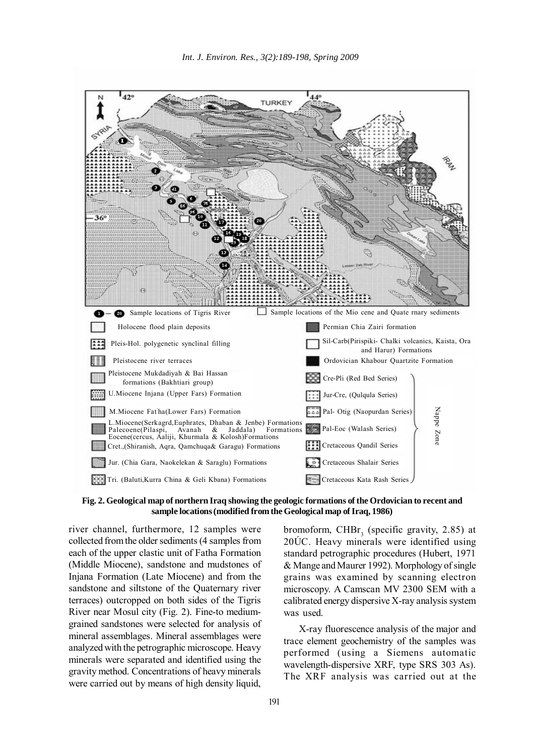

**Fig. 2. Geological map of northern Iraq showing the geologic formations of the Ordovician to recent and sample locations (modified from the Geological map of Iraq, 1986)**

river channel, furthermore, 12 samples were collected from the older sediments (4 samples from each of the upper clastic unit of Fatha Formation (Middle Miocene), sandstone and mudstones of Injana Formation (Late Miocene) and from the sandstone and siltstone of the Quaternary river terraces) outcropped on both sides of the Tigris River near Mosul city (Fig. 2). Fine-to mediumgrained sandstones were selected for analysis of mineral assemblages. Mineral assemblages were analyzed with the petrographic microscope. Heavy minerals were separated and identified using the gravity method. Concentrations of heavy minerals were carried out by means of high density liquid,

bromoform, CHB $r<sub>3</sub>$  (specific gravity, 2.85) at 20ÚC. Heavy minerals were identified using standard petrographic procedures (Hubert, 1971 & Mange and Maurer 1992). Morphology of single grains was examined by scanning electron microscopy. A Camscan MV 2300 SEM with a calibrated energy dispersive X-ray analysis system was used.

X-ray fluorescence analysis of the major and trace element geochemistry of the samples was performed (using a Siemens automatic wavelength-dispersive XRF, type SRS 303 As). The XRF analysis was carried out at the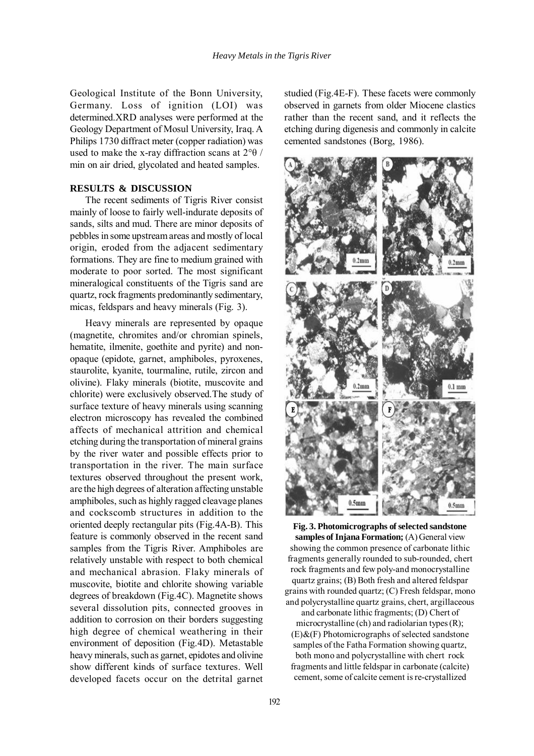Geological Institute of the Bonn University, Germany. Loss of ignition (LOI) was determined.XRD analyses were performed at the Geology Department of Mosul University, Iraq. A Philips 1730 diffract meter (copper radiation) was used to make the x-ray diffraction scans at  $2^{\circ}\theta$  / min on air dried, glycolated and heated samples.

# **RESULTS & DISCUSSION**

The recent sediments of Tigris River consist mainly of loose to fairly well-indurate deposits of sands, silts and mud. There are minor deposits of pebbles in some upstream areas and mostly of local origin, eroded from the adjacent sedimentary formations. They are fine to medium grained with moderate to poor sorted. The most significant mineralogical constituents of the Tigris sand are quartz, rock fragments predominantly sedimentary, micas, feldspars and heavy minerals (Fig. 3).

Heavy minerals are represented by opaque (magnetite, chromites and/or chromian spinels, hematite, ilmenite, goethite and pyrite) and nonopaque (epidote, garnet, amphiboles, pyroxenes, staurolite, kyanite, tourmaline, rutile, zircon and olivine). Flaky minerals (biotite, muscovite and chlorite) were exclusively observed.The study of surface texture of heavy minerals using scanning electron microscopy has revealed the combined affects of mechanical attrition and chemical etching during the transportation of mineral grains by the river water and possible effects prior to transportation in the river. The main surface textures observed throughout the present work, are the high degrees of alteration affecting unstable amphiboles, such as highly ragged cleavage planes and cockscomb structures in addition to the oriented deeply rectangular pits (Fig.4A-B). This feature is commonly observed in the recent sand samples from the Tigris River. Amphiboles are relatively unstable with respect to both chemical and mechanical abrasion. Flaky minerals of muscovite, biotite and chlorite showing variable degrees of breakdown (Fig.4C). Magnetite shows several dissolution pits, connected grooves in addition to corrosion on their borders suggesting high degree of chemical weathering in their environment of deposition (Fig.4D). Metastable heavy minerals, such as garnet, epidotes and olivine show different kinds of surface textures. Well developed facets occur on the detrital garnet

studied (Fig.4E-F). These facets were commonly observed in garnets from older Miocene clastics rather than the recent sand, and it reflects the etching during digenesis and commonly in calcite cemented sandstones (Borg, 1986).



**Fig. 3. Photomicrographs of selected sandstone samples of Injana Formation;** (A) General view showing the common presence of carbonate lithic fragments generally rounded to sub-rounded, chert rock fragments and few poly-and monocrystalline quartz grains; (B) Both fresh and altered feldspar grains with rounded quartz; (C) Fresh feldspar, mono and polycrystalline quartz grains, chert, argillaceous

and carbonate lithic fragments; (D) Chert of microcrystalline (ch) and radiolarian types (R);  $(E)$ &(F) Photomicrographs of selected sandstone samples of the Fatha Formation showing quartz, both mono and polycrystalline with chert rock fragments and little feldspar in carbonate (calcite) cement, some of calcite cement is re-crystallized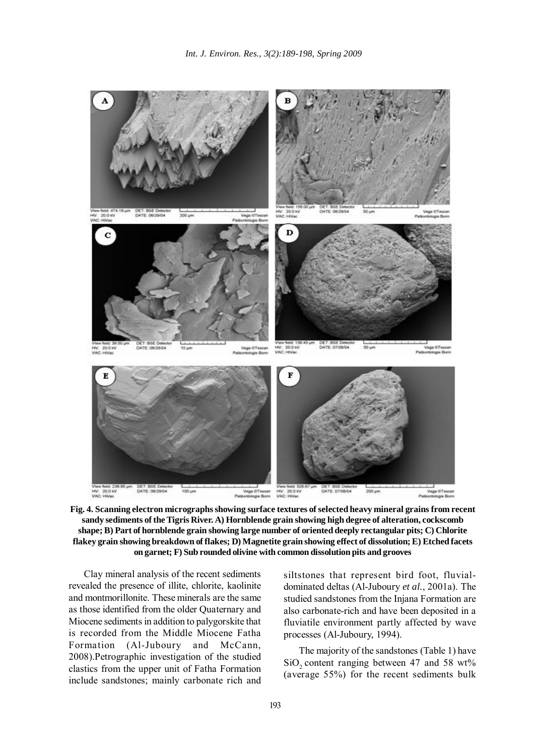

**Fig. 4. Scanning electron micrographs showing surface textures of selected heavy mineral grains from recent sandy sediments of the Tigris River. A) Hornblende grain showing high degree of alteration, cockscomb shape; B) Part of hornblende grain showing large number of oriented deeply rectangular pits; C) Chlorite flakey grain showing breakdown of flakes; D) Magnetite grain showing effect of dissolution; E) Etched facets on garnet; F) Sub rounded olivine with common dissolution pits and grooves**

Clay mineral analysis of the recent sediments revealed the presence of illite, chlorite, kaolinite and montmorillonite. These minerals are the same as those identified from the older Quaternary and Miocene sediments in addition to palygorskite that is recorded from the Middle Miocene Fatha Formation (Al-Juboury and McCann, 2008).Petrographic investigation of the studied clastics from the upper unit of Fatha Formation include sandstones; mainly carbonate rich and

siltstones that represent bird foot, fluvialdominated deltas (Al-Juboury *et al.*, 2001a). The studied sandstones from the Injana Formation are also carbonate-rich and have been deposited in a fluviatile environment partly affected by wave processes (Al-Juboury, 1994).

The majority of the sandstones (Table 1) have SiO<sub>2</sub> content ranging between 47 and 58 wt% (average 55%) for the recent sediments bulk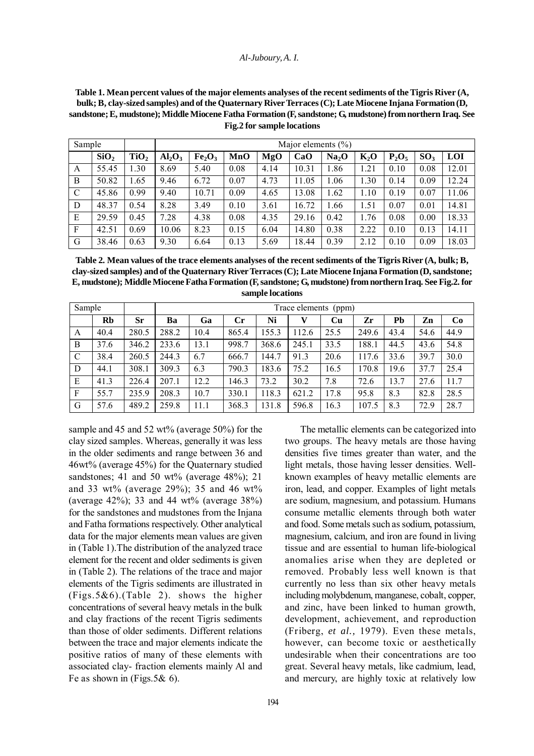#### *Al-Juboury, A. I.*

**Table 1. Mean percent values of the major elements analyses of the recent sediments of the Tigris River (A, bulk; B, clay-sized samples) and of the Quaternary River Terraces (C); Late Miocene Injana Formation (D, sandstone; E, mudstone); Middle Miocene Fatha Formation (F, sandstone; G, mudstone) from northern Iraq. See Fig.2 for sample locations**

| Sample        |                  |                  | Major elements $(\% )$ |                                |      |      |       |                   |        |          |                 |            |
|---------------|------------------|------------------|------------------------|--------------------------------|------|------|-------|-------------------|--------|----------|-----------------|------------|
|               | SiO <sub>2</sub> | TiO <sub>2</sub> | $Al_2O_3$              | Fe <sub>2</sub> O <sub>3</sub> | MnO  | MgO  | CaO   | Na <sub>2</sub> O | $K_2O$ | $P_2O_5$ | SO <sub>3</sub> | <b>LOI</b> |
| А             | 55.45            | 1.30             | 8.69                   | 5.40                           | 0.08 | 4.14 | 10.31 | 1.86              | 1.21   | 0.10     | 0.08            | 12.01      |
| B             | 50.82            | 1.65             | 9.46                   | 6.72                           | 0.07 | 4.73 | 11.05 | 1.06              | 1.30   | 0.14     | 0.09            | 12.24      |
| $\mathcal{C}$ | 45.86            | 0.99             | 9.40                   | 10.71                          | 0.09 | 4.65 | 13.08 | 1.62              | 1.10   | 0.19     | 0.07            | 11.06      |
| D             | 48.37            | 0.54             | 8.28                   | 3.49                           | 0.10 | 3.61 | 16.72 | 1.66              | 1.51   | 0.07     | 0.01            | 14.81      |
| E             | 29.59            | 0.45             | 7.28                   | 4.38                           | 0.08 | 4.35 | 29.16 | 0.42              | 1.76   | 0.08     | 0.00            | 18.33      |
| F             | 42.51            | 0.69             | 10.06                  | 8.23                           | 0.15 | 6.04 | 14.80 | 0.38              | 2.22   | 0.10     | 0.13            | 14.11      |
| G             | 38.46            | 0.63             | 9.30                   | 6.64                           | 0.13 | 5.69 | 18.44 | 0.39              | 2.12   | 0.10     | 0.09            | 18.03      |

**Table 2. Mean values of the trace elements analyses of the recent sediments of the Tigris River (A, bulk; B, clay-sized samples) and of the Quaternary River Terraces (C); Late Miocene Injana Formation (D, sandstone; E, mudstone); Middle Miocene Fatha Formation (F, sandstone; G, mudstone) from northern Iraq. See Fig.2. for sample locations**

| Sample |      |       | Trace elements<br>(ppm) |      |                |       |       |      |       |      |      |      |
|--------|------|-------|-------------------------|------|----------------|-------|-------|------|-------|------|------|------|
|        | Rb   | Sr    | Ba                      | Ga   | $\mathbf{C}$ r | Ni    | v     | Cu   | Zr    | Pb   | Zn   | Co   |
| A      | 40.4 | 280.5 | 288.2                   | 10.4 | 865.4          | 155.3 | 112.6 | 25.5 | 249.6 | 43.4 | 54.6 | 44.9 |
| B      | 37.6 | 346.2 | 233.6                   | 13.1 | 998.7          | 368.6 | 245.1 | 33.5 | 188.1 | 44.5 | 43.6 | 54.8 |
| C      | 38.4 | 260.5 | 244.3                   | 6.7  | 666.7          | 144.7 | 91.3  | 20.6 | 117.6 | 33.6 | 39.7 | 30.0 |
| D      | 44.1 | 308.1 | 309.3                   | 6.3  | 790.3          | 183.6 | 75.2  | 16.5 | 170.8 | 19.6 | 37.7 | 25.4 |
| E      | 41.3 | 226.4 | 207.1                   | 12.2 | 146.3          | 73.2  | 30.2  | 7.8  | 72.6  | 13.7 | 27.6 | 11.7 |
| F      | 55.7 | 235.9 | 208.3                   | 10.7 | 330.1          | 118.3 | 621.2 | 17.8 | 95.8  | 8.3  | 82.8 | 28.5 |
| G      | 57.6 | 489.2 | 259.8                   | 11.1 | 368.3          | 131.8 | 596.8 | 16.3 | 107.5 | 8.3  | 72.9 | 28.7 |

sample and 45 and 52 wt% (average 50%) for the clay sized samples. Whereas, generally it was less in the older sediments and range between 36 and 46wt% (average 45%) for the Quaternary studied sandstones; 41 and 50 wt% (average 48%); 21 and 33 wt% (average 29%); 35 and 46 wt% (average 42%); 33 and 44 wt% (average  $38\%$ ) for the sandstones and mudstones from the Injana and Fatha formations respectively. Other analytical data for the major elements mean values are given in (Table 1).The distribution of the analyzed trace element for the recent and older sediments is given in (Table 2). The relations of the trace and major elements of the Tigris sediments are illustrated in (Figs.5&6).(Table 2). shows the higher concentrations of several heavy metals in the bulk and clay fractions of the recent Tigris sediments than those of older sediments. Different relations between the trace and major elements indicate the positive ratios of many of these elements with associated clay- fraction elements mainly Al and Fe as shown in (Figs.5& 6).

The metallic elements can be categorized into two groups. The heavy metals are those having densities five times greater than water, and the light metals, those having lesser densities. Wellknown examples of heavy metallic elements are iron, lead, and copper. Examples of light metals are sodium, magnesium, and potassium. Humans consume metallic elements through both water and food. Some metals such as sodium, potassium, magnesium, calcium, and iron are found in living tissue and are essential to human life-biological anomalies arise when they are depleted or removed. Probably less well known is that currently no less than six other heavy metals including molybdenum, manganese, cobalt, copper, and zinc, have been linked to human growth, development, achievement, and reproduction (Friberg, *et al.,* 1979). Even these metals, however, can become toxic or aesthetically undesirable when their concentrations are too great. Several heavy metals, like cadmium, lead, and mercury, are highly toxic at relatively low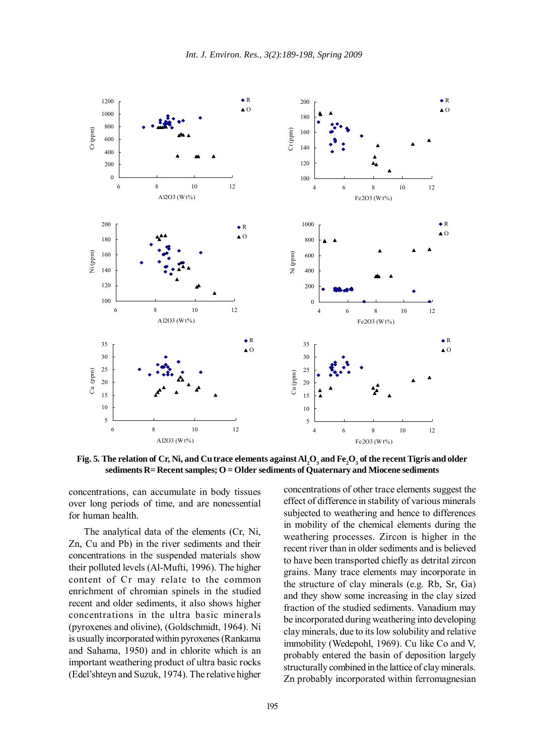

Fig. 5. The relation of Cr, Ni, and Cu trace elements against  $\text{Al}_2\text{O}_3$  and Fe<sub>2</sub>O<sub>3</sub> of the recent Tigris and older **sediments R= Recent samples; O = Older sediments of Quaternary and Miocene sediments**

concentrations, can accumulate in body tissues over long periods of time, and are nonessential for human health.

The analytical data of the elements (Cr, Ni, Zn, Cu and Pb) in the river sediments and their concentrations in the suspended materials show their polluted levels (Al-Mufti, 1996). The higher content of Cr may relate to the common enrichment of chromian spinels in the studied recent and older sediments, it also shows higher concentrations in the ultra basic minerals (pyroxenes and olivine), (Goldschmidt, 1964). Ni is usually incorporated within pyroxenes (Rankama and Sahama, 1950) and in chlorite which is an important weathering product of ultra basic rocks (Edel'shteyn and Suzuk, 1974). The relative higher concentrations of other trace elements suggest the effect of difference in stability of various minerals subjected to weathering and hence to differences in mobility of the chemical elements during the weathering processes. Zircon is higher in the recent river than in older sediments and is believed to have been transported chiefly as detrital zircon grains. Many trace elements may incorporate in the structure of clay minerals (e.g. Rb, Sr, Ga) and they show some increasing in the clay sized fraction of the studied sediments. Vanadium may be incorporated during weathering into developing clay minerals, due to its low solubility and relative immobility (Wedepohl, 1969). Cu like Co and V, probably entered the basin of deposition largely structurally combined in the lattice of clay minerals. Zn probably incorporated within ferromagnesian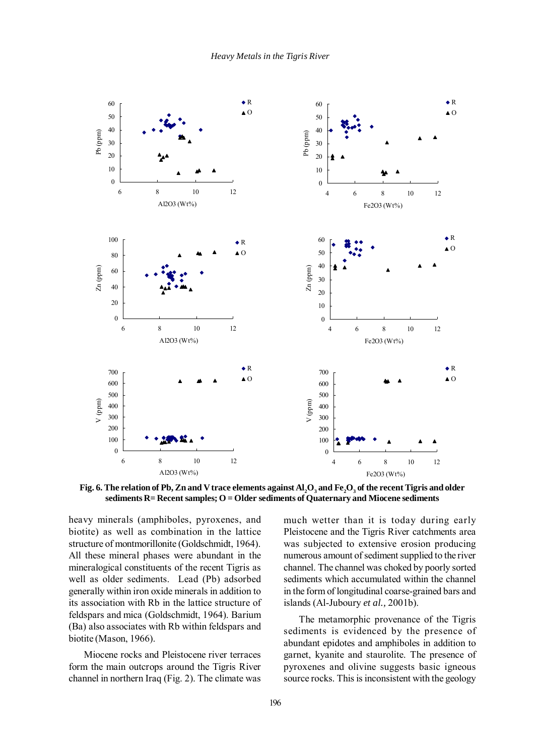

Fig. 6. The relation of Pb, Zn and V trace elements against  $\text{Al}_2\text{O}_3$  and Fe $_2\text{O}_3$  of the recent Tigris and older **sediments R= Recent samples; O = Older sediments of Quaternary and Miocene sediments**

heavy minerals (amphiboles, pyroxenes, and biotite) as well as combination in the lattice structure of montmorillonite (Goldschmidt, 1964). All these mineral phases were abundant in the mineralogical constituents of the recent Tigris as well as older sediments. Lead (Pb) adsorbed generally within iron oxide minerals in addition to its association with Rb in the lattice structure of feldspars and mica (Goldschmidt, 1964). Barium (Ba) also associates with Rb within feldspars and biotite (Mason, 1966).

Miocene rocks and Pleistocene river terraces form the main outcrops around the Tigris River channel in northern Iraq (Fig. 2). The climate was much wetter than it is today during early Pleistocene and the Tigris River catchments area was subjected to extensive erosion producing numerous amount of sediment supplied to the river channel. The channel was choked by poorly sorted sediments which accumulated within the channel in the form of longitudinal coarse-grained bars and islands (Al-Juboury *et al.,* 2001b).

The metamorphic provenance of the Tigris sediments is evidenced by the presence of abundant epidotes and amphiboles in addition to garnet, kyanite and staurolite. The presence of pyroxenes and olivine suggests basic igneous source rocks. This is inconsistent with the geology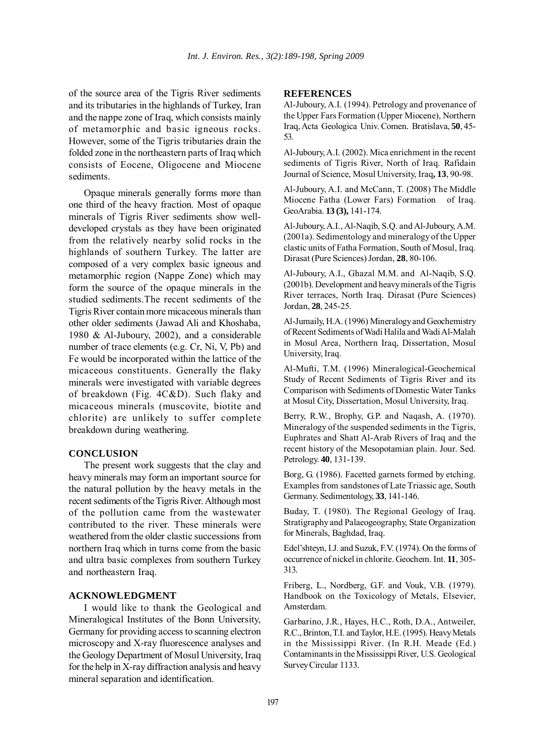of the source area of the Tigris River sediments and its tributaries in the highlands of Turkey, Iran and the nappe zone of Iraq, which consists mainly of metamorphic and basic igneous rocks. However, some of the Tigris tributaries drain the folded zone in the northeastern parts of Iraq which consists of Eocene, Oligocene and Miocene sediments.

Opaque minerals generally forms more than one third of the heavy fraction. Most of opaque minerals of Tigris River sediments show welldeveloped crystals as they have been originated from the relatively nearby solid rocks in the highlands of southern Turkey. The latter are composed of a very complex basic igneous and metamorphic region (Nappe Zone) which may form the source of the opaque minerals in the studied sediments.The recent sediments of the Tigris River contain more micaceous minerals than other older sediments (Jawad Ali and Khoshaba, 1980 & Al-Juboury, 2002), and a considerable number of trace elements (e.g. Cr, Ni, V, Pb) and Fe would be incorporated within the lattice of the micaceous constituents. Generally the flaky minerals were investigated with variable degrees of breakdown (Fig. 4C&D). Such flaky and micaceous minerals (muscovite, biotite and chlorite) are unlikely to suffer complete breakdown during weathering.

### **CONCLUSION**

The present work suggests that the clay and heavy minerals may form an important source for the natural pollution by the heavy metals in the recent sediments of the Tigris River. Although most of the pollution came from the wastewater contributed to the river. These minerals were weathered from the older clastic successions from northern Iraq which in turns come from the basic and ultra basic complexes from southern Turkey and northeastern Iraq.

# **ACKNOWLEDGMENT**

I would like to thank the Geological and Mineralogical Institutes of the Bonn University, Germany for providing access to scanning electron microscopy and X-ray fluorescence analyses and the Geology Department of Mosul University, Iraq for the help in X-ray diffraction analysis and heavy mineral separation and identification.

## **REFERENCES**

Al-Juboury, A.I. (1994). Petrology and provenance of the Upper Fars Formation (Upper Miocene), Northern Iraq, Acta Geologica Univ. Comen*.* Bratislava, **50**, 45- 53.

Al-Juboury, A.I. (2002). Mica enrichment in the recent sediments of Tigris River, North of Iraq. Rafidain Journal of Science, Mosul University, Iraq**, 13**, 90-98.

Al-Juboury, A.I. and McCann, T. (2008) The Middle Miocene Fatha (Lower Fars) Formation of Iraq. GeoArabia. **13 (3),** 141-174.

Al-Juboury, A.I., Al-Naqib, S.Q. and Al-Juboury, A.M. (2001a). Sedimentology and mineralogy of the Upper clastic units of Fatha Formation, South of Mosul, Iraq. Dirasat (Pure Sciences) Jordan, **28**, 80-106.

Al-Juboury, A.I., Ghazal M.M. and Al-Naqib, S.Q. (2001b). Development and heavy minerals of the Tigris River terraces, North Iraq. Dirasat (Pure Sciences) Jordan, **28**, 245-25.

Al-Jumaily, H.A. (1996) Mineralogy and Geochemistry of Recent Sediments of Wadi Halila and Wadi Al-Malah in Mosul Area, Northern Iraq, Dissertation, Mosul University, Iraq.

Al-Mufti, T.M. (1996) Mineralogical-Geochemical Study of Recent Sediments of Tigris River and its Comparison with Sediments of Domestic Water Tanks at Mosul City, Dissertation, Mosul University, Iraq.

Berry, R.W., Brophy, G.P. and Naqash, A. (1970). Mineralogy of the suspended sediments in the Tigris, Euphrates and Shatt Al-Arab Rivers of Iraq and the recent history of the Mesopotamian plain. Jour. Sed. Petrology. **40**, 131-139.

Borg, G. (1986). Facetted garnets formed by etching. Examples from sandstones of Late Triassic age, South Germany*.* Sedimentology, **33**, 141-146.

Buday, T. (1980). The Regional Geology of Iraq*.* Stratigraphy and Palaeogeography, State Organization for Minerals, Baghdad, Iraq.

Edel'shteyn, I.J. and Suzuk, F.V. (1974). On the forms of occurrence of nickel in chlorite. Geochem. Int. **11**, 305- 313.

Friberg, L., Nordberg, G.F. and Vouk, V.B. (1979). Handbook on the Toxicology of Metals, Elsevier, Amsterdam.

Garbarino, J.R., Hayes, H.C., Roth, D.A., Antweiler, R.C., Brinton, T.I. and Taylor, H.E. (1995). Heavy Metals in the Mississippi River. (In R.H. Meade (Ed.) Contaminants in the Mississippi River, U.S. Geological Survey Circular 1133.